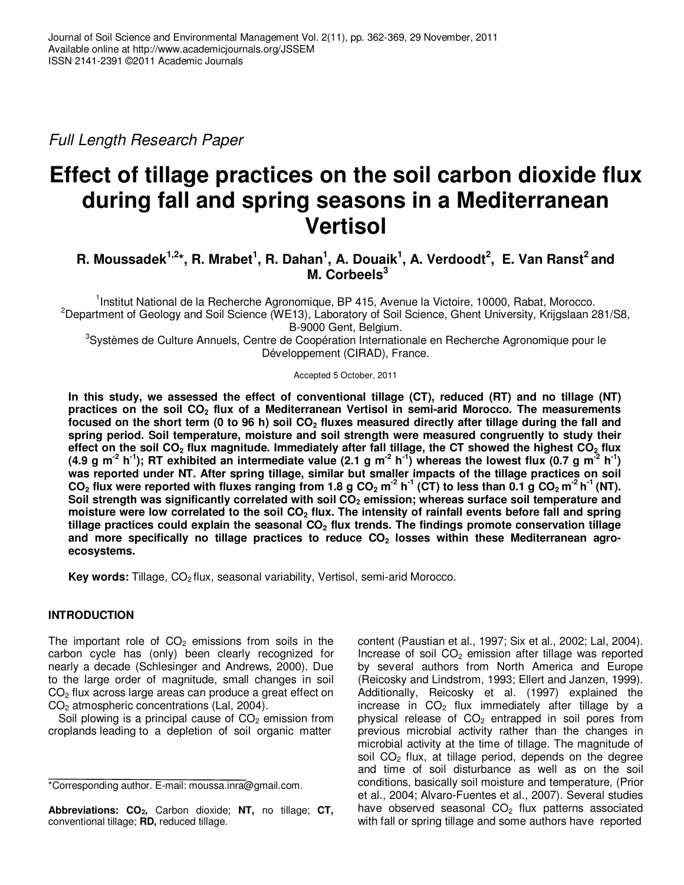Full Length Research Paper

# **Effect of tillage practices on the soil carbon dioxide flux during fall and spring seasons in a Mediterranean Vertisol**

# **R. Moussadek1,2\*, R. Mrabet<sup>1</sup> , R. Dahan<sup>1</sup> , A. Douaik<sup>1</sup> , A. Verdoodt<sup>2</sup> , E. Van Ranst<sup>2</sup>and M. Corbeels<sup>3</sup>**

<sup>1</sup>Institut National de la Recherche Agronomique, BP 415, Avenue la Victoire, 10000, Rabat, Morocco. <sup>2</sup>Department of Geology and Soil Science (WE13), Laboratory of Soil Science, Ghent University, Krijgslaan 281/S8, B-9000 Gent, Belgium.

<sup>3</sup>Systèmes de Culture Annuels, Centre de Coopération Internationale en Recherche Agronomique pour le Développement (CIRAD), France.

#### Accepted 5 October, 2011

**In this study, we assessed the effect of conventional tillage (CT), reduced (RT) and no tillage (NT) practices on the soil CO2 flux of a Mediterranean Vertisol in semi-arid Morocco. The measurements focused on the short term (0 to 96 h) soil CO2 fluxes measured directly after tillage during the fall and spring period. Soil temperature, moisture and soil strength were measured congruently to study their effect on the soil CO2 flux magnitude. Immediately after fall tillage, the CT showed the highest CO2 flux (4.9 g m-2 h-1); RT exhibited an intermediate value (2.1 g m-2 h-1) whereas the lowest flux (0.7 g m-2 h-1) was reported under NT. After spring tillage, similar but smaller impacts of the tillage practices on soil**  CO<sub>2</sub> flux were reported with fluxes ranging from 1.8 g CO<sub>2</sub> m<sup>2</sup> h<sup>-1</sup> (CT) to less than 0.1 g CO<sub>2</sub> m<sup>2</sup> h<sup>-1</sup> (NT). **Soil strength was significantly correlated with soil CO2 emission; whereas surface soil temperature and moisture were low correlated to the soil CO2 flux. The intensity of rainfall events before fall and spring tillage practices could explain the seasonal CO2 flux trends. The findings promote conservation tillage and more specifically no tillage practices to reduce CO2 losses within these Mediterranean agroecosystems.** 

Key words: Tillage, CO<sub>2</sub> flux, seasonal variability, Vertisol, semi-arid Morocco.

# **INTRODUCTION**

The important role of  $CO<sub>2</sub>$  emissions from soils in the carbon cycle has (only) been clearly recognized for nearly a decade (Schlesinger and Andrews, 2000). Due to the large order of magnitude, small changes in soil  $CO<sub>2</sub>$  flux across large areas can produce a great effect on CO2 atmospheric concentrations (Lal, 2004).

Soil plowing is a principal cause of  $CO<sub>2</sub>$  emission from croplands leading to a depletion of soil organic matter

content (Paustian et al., 1997; Six et al., 2002; Lal, 2004). Increase of soil  $CO<sub>2</sub>$  emission after tillage was reported by several authors from North America and Europe (Reicosky and Lindstrom, 1993; Ellert and Janzen, 1999). Additionally, Reicosky et al. (1997) explained the increase in  $CO<sub>2</sub>$  flux immediately after tillage by a physical release of  $CO<sub>2</sub>$  entrapped in soil pores from previous microbial activity rather than the changes in microbial activity at the time of tillage. The magnitude of soil  $CO<sub>2</sub>$  flux, at tillage period, depends on the degree and time of soil disturbance as well as on the soil conditions, basically soil moisture and temperature, (Prior et al., 2004; Alvaro-Fuentes et al., 2007). Several studies have observed seasonal  $CO<sub>2</sub>$  flux patterns associated with fall or spring tillage and some authors have reported

<sup>\*</sup>Corresponding author. E-mail: moussa.inra@gmail.com.

**Abbreviations: CO2,** Carbon dioxide; **NT,** no tillage; **CT,** conventional tillage; **RD,** reduced tillage.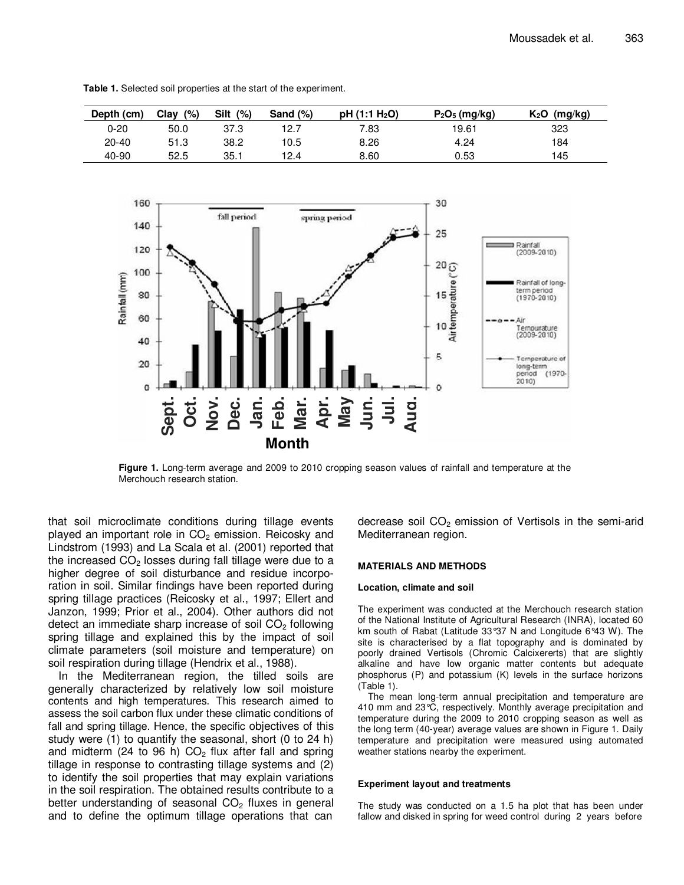| Depth (cm) | Clay<br>(%) | Silt<br>(%) | Sand $(\%)$ | pH(1:1 H <sub>2</sub> O) | $P_2O_5$ (mg/kg) | $K_2O$<br>(mg/kg) |
|------------|-------------|-------------|-------------|--------------------------|------------------|-------------------|
| $0 - 20$   | 50.0        | 37.3        | 12.7        | 7.83                     | 19.61            | 323               |
| $20 - 40$  | 51.3        | 38.2        | 10.5        | 8.26                     | 4.24             | 184               |
| 40-90      | 52.5        | 35.1        | 12.4        | 8.60                     | 0.53             | 145               |

**Table 1.** Selected soil properties at the start of the experiment.



**Figure 1.** Long-term average and 2009 to 2010 cropping season values of rainfall and temperature at the Merchouch research station.

that soil microclimate conditions during tillage events played an important role in  $CO<sub>2</sub>$  emission. Reicosky and Lindstrom (1993) and La Scala et al. (2001) reported that the increased  $CO<sub>2</sub>$  losses during fall tillage were due to a higher degree of soil disturbance and residue incorporation in soil. Similar findings have been reported during spring tillage practices (Reicosky et al., 1997; Ellert and Janzon, 1999; Prior et al., 2004). Other authors did not detect an immediate sharp increase of soil  $CO<sub>2</sub>$  following spring tillage and explained this by the impact of soil climate parameters (soil moisture and temperature) on soil respiration during tillage (Hendrix et al., 1988).

In the Mediterranean region, the tilled soils are generally characterized by relatively low soil moisture contents and high temperatures. This research aimed to assess the soil carbon flux under these climatic conditions of fall and spring tillage. Hence, the specific objectives of this study were (1) to quantify the seasonal, short (0 to 24 h) and midterm (24 to 96 h)  $CO<sub>2</sub>$  flux after fall and spring tillage in response to contrasting tillage systems and (2) to identify the soil properties that may explain variations in the soil respiration. The obtained results contribute to a better understanding of seasonal  $CO<sub>2</sub>$  fluxes in general and to define the optimum tillage operations that can

decrease soil  $CO<sub>2</sub>$  emission of Vertisols in the semi-arid Mediterranean region.

#### **MATERIALS AND METHODS**

#### **Location, climate and soil**

The experiment was conducted at the Merchouch research station of the National Institute of Agricultural Research (INRA), located 60 km south of Rabat (Latitude 33°37 N and Longitude 6°43 W). The site is characterised by a flat topography and is dominated by poorly drained Vertisols (Chromic Calcixererts) that are slightly alkaline and have low organic matter contents but adequate phosphorus (P) and potassium (K) levels in the surface horizons (Table 1).

The mean long-term annual precipitation and temperature are 410 mm and 23°C, respectively. Monthly average precipitation and temperature during the 2009 to 2010 cropping season as well as the long term (40-year) average values are shown in Figure 1. Daily temperature and precipitation were measured using automated weather stations nearby the experiment.

#### **Experiment layout and treatments**

The study was conducted on a 1.5 ha plot that has been under fallow and disked in spring for weed control during 2 years before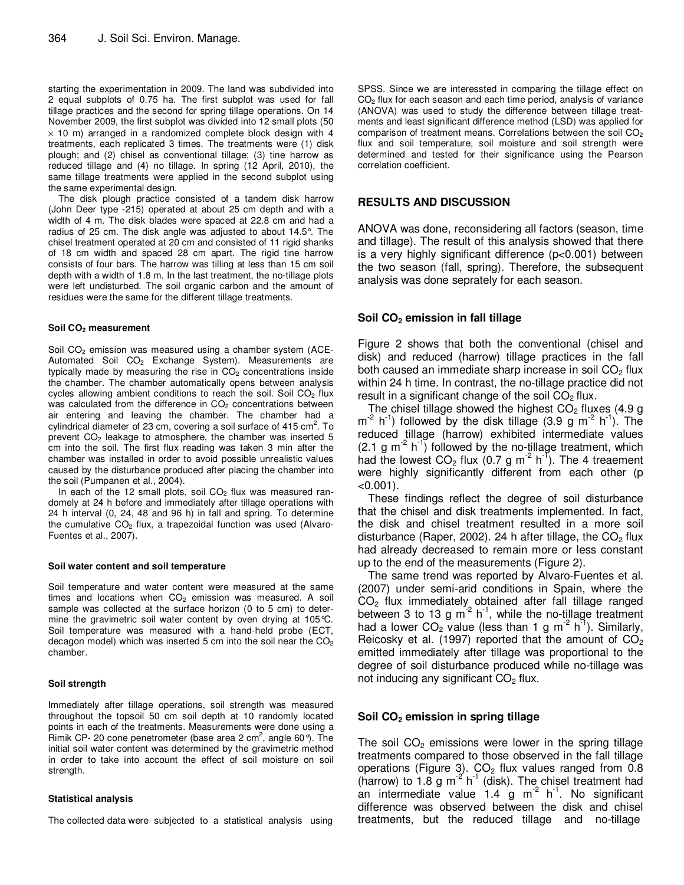starting the experimentation in 2009. The land was subdivided into 2 equal subplots of 0.75 ha. The first subplot was used for fall tillage practices and the second for spring tillage operations. On 14 November 2009, the first subplot was divided into 12 small plots (50  $\times$  10 m) arranged in a randomized complete block design with 4 treatments, each replicated 3 times. The treatments were (1) disk plough; and (2) chisel as conventional tillage; (3) tine harrow as reduced tillage and (4) no tillage. In spring (12 April, 2010), the same tillage treatments were applied in the second subplot using the same experimental design.

The disk plough practice consisted of a tandem disk harrow (John Deer type -215) operated at about 25 cm depth and with a width of 4 m. The disk blades were spaced at 22.8 cm and had a radius of 25 cm. The disk angle was adjusted to about 14.5°. The chisel treatment operated at 20 cm and consisted of 11 rigid shanks of 18 cm width and spaced 28 cm apart. The rigid tine harrow consists of four bars. The harrow was tilling at less than 15 cm soil depth with a width of 1.8 m. In the last treatment, the no-tillage plots were left undisturbed. The soil organic carbon and the amount of residues were the same for the different tillage treatments.

#### **Soil CO2 measurement**

Soil CO<sub>2</sub> emission was measured using a chamber system (ACE-Automated Soil CO<sub>2</sub> Exchange System). Measurements are typically made by measuring the rise in  $CO<sub>2</sub>$  concentrations inside the chamber. The chamber automatically opens between analysis cycles allowing ambient conditions to reach the soil. Soil CO<sub>2</sub> flux was calculated from the difference in CO<sub>2</sub> concentrations between air entering and leaving the chamber. The chamber had a cylindrical diameter of 23 cm, covering a soil surface of 415 cm<sup>2</sup>. To prevent CO<sub>2</sub> leakage to atmosphere, the chamber was inserted 5 cm into the soil. The first flux reading was taken 3 min after the chamber was installed in order to avoid possible unrealistic values caused by the disturbance produced after placing the chamber into the soil (Pumpanen et al., 2004).

In each of the 12 small plots, soil  $CO<sub>2</sub>$  flux was measured randomely at 24 h before and immediately after tillage operations with 24 h interval (0, 24, 48 and 96 h) in fall and spring. To determine the cumulative  $CO<sub>2</sub>$  flux, a trapezoidal function was used (Alvaro-Fuentes et al., 2007).

#### **Soil water content and soil temperature**

Soil temperature and water content were measured at the same times and locations when  $CO<sub>2</sub>$  emission was measured. A soil sample was collected at the surface horizon (0 to 5 cm) to determine the gravimetric soil water content by oven drying at 105°C. Soil temperature was measured with a hand-held probe (ECT, decagon model) which was inserted 5 cm into the soil near the  $CO<sub>2</sub>$ chamber.

#### **Soil strength**

Immediately after tillage operations, soil strength was measured throughout the topsoil 50 cm soil depth at 10 randomly located points in each of the treatments. Measurements were done using a Rimik CP- 20 cone penetrometer (base area 2 cm<sup>2</sup>, angle 60 $^{\circ}$ ). The initial soil water content was determined by the gravimetric method in order to take into account the effect of soil moisture on soil strength.

#### **Statistical analysis**

The collected data were subjected to a statistical analysis using

SPSS. Since we are interessted in comparing the tillage effect on CO2 flux for each season and each time period, analysis of variance (ANOVA) was used to study the difference between tillage treatments and least significant difference method (LSD) was applied for comparison of treatment means. Correlations between the soil  $CO<sub>2</sub>$ flux and soil temperature, soil moisture and soil strength were determined and tested for their significance using the Pearson correlation coefficient.

#### **RESULTS AND DISCUSSION**

ANOVA was done, reconsidering all factors (season, time and tillage). The result of this analysis showed that there is a very highly significant difference (p<0.001) between the two season (fall, spring). Therefore, the subsequent analysis was done seprately for each season.

#### **Soil CO2 emission in fall tillage**

Figure 2 shows that both the conventional (chisel and disk) and reduced (harrow) tillage practices in the fall both caused an immediate sharp increase in soil  $CO<sub>2</sub>$  flux within 24 h time. In contrast, the no-tillage practice did not result in a significant change of the soil  $CO<sub>2</sub>$  flux.

The chisel tillage showed the highest  $CO<sub>2</sub>$  fluxes (4.9 g  $m<sup>-2</sup>$  h<sup>-1</sup>) followed by the disk tillage (3.9 g m<sup>-2</sup> h<sup>-1</sup>). The reduced tillage (harrow) exhibited intermediate values  $(2.1 \text{ g m}^{-2} \text{ h}^{-1})$  followed by the no-tillage treatment, which had the lowest  $CO<sub>2</sub>$  flux (0.7 g m<sup>-2</sup> h<sup>-1</sup>). The 4 treaement were highly significantly different from each other (p  $< 0.001$ ).

These findings reflect the degree of soil disturbance that the chisel and disk treatments implemented. In fact, the disk and chisel treatment resulted in a more soil disturbance (Raper, 2002). 24 h after tillage, the  $CO<sub>2</sub>$  flux had already decreased to remain more or less constant up to the end of the measurements (Figure 2).

The same trend was reported by Alvaro-Fuentes et al. (2007) under semi-arid conditions in Spain, where the  $CO<sub>2</sub>$  flux immediately obtained after fall tillage ranged between 3 to 13 g  $m^{-2}$  h<sup>-1</sup>, while the no-tillage treatment had a lower  $CO<sub>2</sub>$  value (less than 1 g m<sup>-2</sup> h<sup>-1</sup>). Similarly, Reicosky et al. (1997) reported that the amount of  $CO<sub>2</sub>$ emitted immediately after tillage was proportional to the degree of soil disturbance produced while no-tillage was not inducing any significant  $CO<sub>2</sub>$  flux.

#### **Soil CO2 emission in spring tillage**

The soil  $CO<sub>2</sub>$  emissions were lower in the spring tillage treatments compared to those observed in the fall tillage operations (Figure 3).  $CO<sub>2</sub>$  flux values ranged from 0.8 (harrow) to  $1.8 \text{ g m}^{-2}$  h<sup>-1</sup> (disk). The chisel treatment had an intermediate value  $1.4 \text{ g m}^2$  h<sup>-1</sup>. No significant difference was observed between the disk and chisel treatments, but the reduced tillage and no-tillage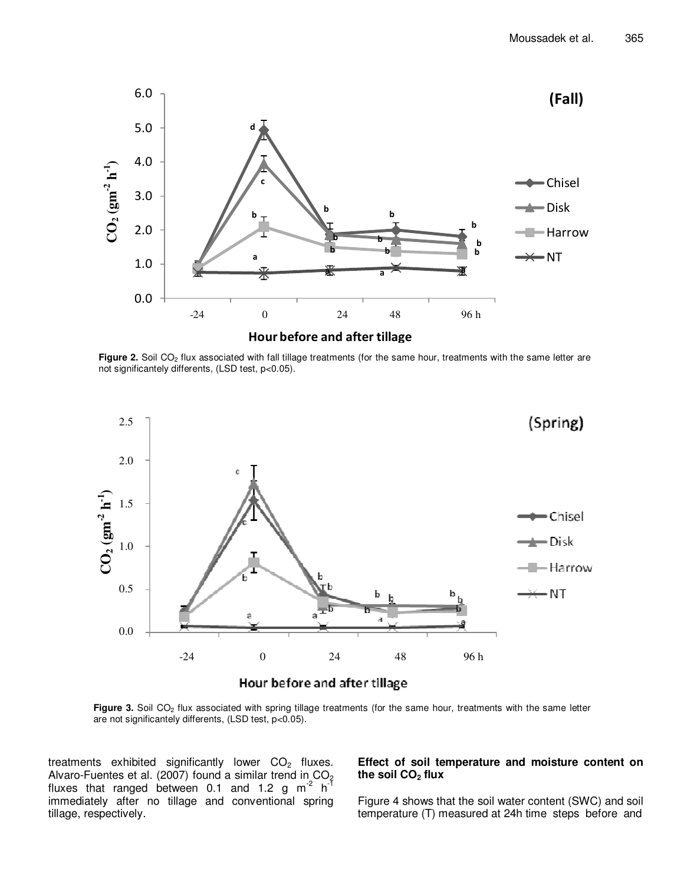

Figure 2. Soil CO<sub>2</sub> flux associated with fall tillage treatments (for the same hour, treatments with the same letter are not significantely differents, (LSD test, p<0.05).



Figure 3. Soil CO<sub>2</sub> flux associated with spring tillage treatments (for the same hour, treatments with the same letter are not significantely differents, (LSD test, p<0.05).

treatments exhibited significantly lower  $CO<sub>2</sub>$  fluxes. Alvaro-Fuentes et al. (2007) found a similar trend in  $CO_2$ fluxes that ranged between 0.1 and 1.2 g  $m^2$  h<sup>-1</sup> immediately after no tillage and conventional spring tillage, respectively.

# **Effect of soil temperature and moisture content on the soil CO2 flux**

Figure 4 shows that the soil water content (SWC) and soil temperature (T) measured at 24h time steps before and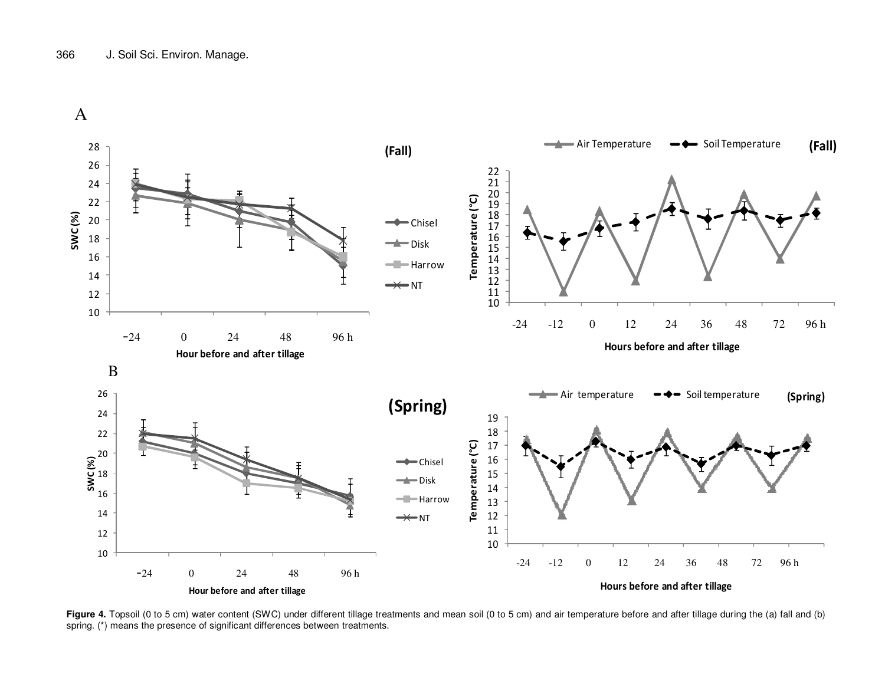



Figure 4. Topsoil (0 to 5 cm) water content (SWC) under different tillage treatments and mean soil (0 to 5 cm) and air temperature before and after tillage during the (a) fall and (b) spring. (\*) means the presence of significant differences between treatments.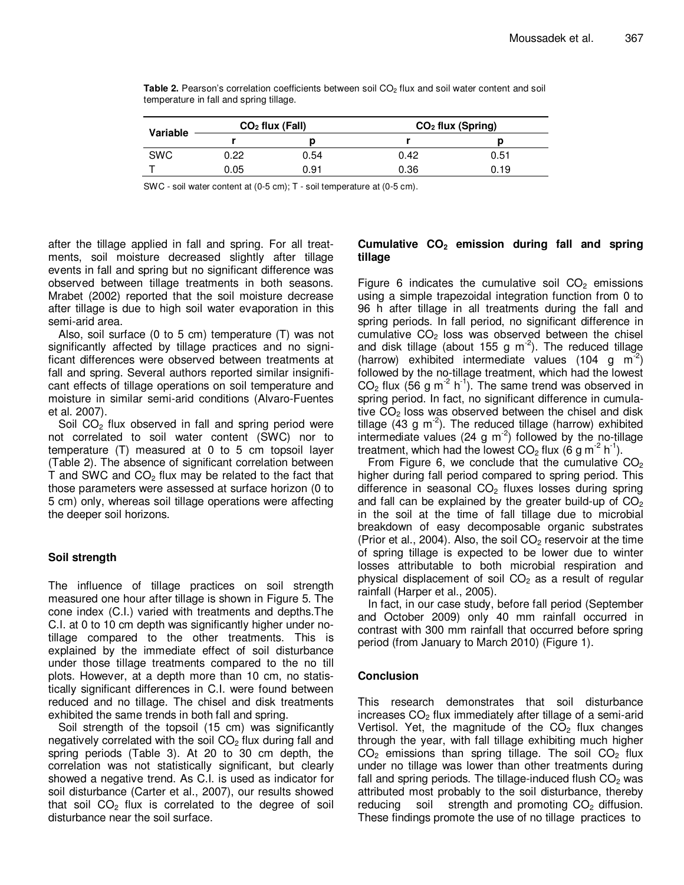| Variable   |      | $CO2$ flux (Fall) | $CO2$ flux (Spring) |      |  |
|------------|------|-------------------|---------------------|------|--|
|            |      |                   |                     |      |  |
| <b>SWC</b> | 0.22 | 0.54              | 0.42                | 0.51 |  |
|            | 0.05 | 0.91              | 0.36                | 0.19 |  |

**Table 2.** Pearson's correlation coefficients between soil CO<sub>2</sub> flux and soil water content and soil temperature in fall and spring tillage.

SWC - soil water content at (0-5 cm); T - soil temperature at (0-5 cm).

after the tillage applied in fall and spring. For all treatments, soil moisture decreased slightly after tillage events in fall and spring but no significant difference was observed between tillage treatments in both seasons. Mrabet (2002) reported that the soil moisture decrease after tillage is due to high soil water evaporation in this semi-arid area.

Also, soil surface (0 to 5 cm) temperature (T) was not significantly affected by tillage practices and no significant differences were observed between treatments at fall and spring. Several authors reported similar insignificant effects of tillage operations on soil temperature and moisture in similar semi-arid conditions (Alvaro-Fuentes et al. 2007).

Soil  $CO<sub>2</sub>$  flux observed in fall and spring period were not correlated to soil water content (SWC) nor to temperature (T) measured at 0 to 5 cm topsoil layer (Table 2). The absence of significant correlation between T and SWC and  $CO<sub>2</sub>$  flux may be related to the fact that those parameters were assessed at surface horizon (0 to 5 cm) only, whereas soil tillage operations were affecting the deeper soil horizons.

#### **Soil strength**

The influence of tillage practices on soil strength measured one hour after tillage is shown in Figure 5. The cone index (C.I.) varied with treatments and depths.The C.I. at 0 to 10 cm depth was significantly higher under notillage compared to the other treatments. This is explained by the immediate effect of soil disturbance under those tillage treatments compared to the no till plots. However, at a depth more than 10 cm, no statistically significant differences in C.I. were found between reduced and no tillage. The chisel and disk treatments exhibited the same trends in both fall and spring.

Soil strength of the topsoil (15 cm) was significantly negatively correlated with the soil  $CO<sub>2</sub>$  flux during fall and spring periods (Table 3). At 20 to 30 cm depth, the correlation was not statistically significant, but clearly showed a negative trend. As C.I. is used as indicator for soil disturbance (Carter et al., 2007), our results showed that soil  $CO<sub>2</sub>$  flux is correlated to the degree of soil disturbance near the soil surface.

# **Cumulative CO2 emission during fall and spring tillage**

Figure 6 indicates the cumulative soil  $CO<sub>2</sub>$  emissions using a simple trapezoidal integration function from 0 to 96 h after tillage in all treatments during the fall and spring periods. In fall period, no significant difference in cumulative  $CO<sub>2</sub>$  loss was observed between the chisel and disk tillage (about 155 g  $m<sup>-2</sup>$ ). The reduced tillage (harrow) exhibited intermediate values (104 g  $m^{-2}$ ) followed by the no-tillage treatment, which had the lowest  $CO<sub>2</sub>$  flux (56 g m<sup>-2</sup> h<sup>-1</sup>). The same trend was observed in spring period. In fact, no significant difference in cumulative  $CO<sub>2</sub>$  loss was observed between the chisel and disk tillage  $(43 \text{ g m}^2)$ . The reduced tillage (harrow) exhibited intermediate values (24 g  $\text{m}^{-2}$ ) followed by the no-tillage treatment, which had the lowest  $CO<sub>2</sub>$  flux (6 g m<sup>-2</sup> h<sup>-1</sup>).

From Figure 6, we conclude that the cumulative  $CO<sub>2</sub>$ higher during fall period compared to spring period. This difference in seasonal  $CO<sub>2</sub>$  fluxes losses during spring and fall can be explained by the greater build-up of  $CO<sub>2</sub>$ in the soil at the time of fall tillage due to microbial breakdown of easy decomposable organic substrates (Prior et al., 2004). Also, the soil  $CO<sub>2</sub>$  reservoir at the time of spring tillage is expected to be lower due to winter losses attributable to both microbial respiration and physical displacement of soil  $CO<sub>2</sub>$  as a result of regular rainfall (Harper et al., 2005).

In fact, in our case study, before fall period (September and October 2009) only 40 mm rainfall occurred in contrast with 300 mm rainfall that occurred before spring period (from January to March 2010) (Figure 1).

# **Conclusion**

This research demonstrates that soil disturbance increases  $CO<sub>2</sub>$  flux immediately after tillage of a semi-arid Vertisol. Yet, the magnitude of the  $CO<sub>2</sub>$  flux changes through the year, with fall tillage exhibiting much higher  $CO<sub>2</sub>$  emissions than spring tillage. The soil  $CO<sub>2</sub>$  flux under no tillage was lower than other treatments during fall and spring periods. The tillage-induced flush  $CO<sub>2</sub>$  was attributed most probably to the soil disturbance, thereby reducing soil strength and promoting  $CO<sub>2</sub>$  diffusion. These findings promote the use of no tillage practices to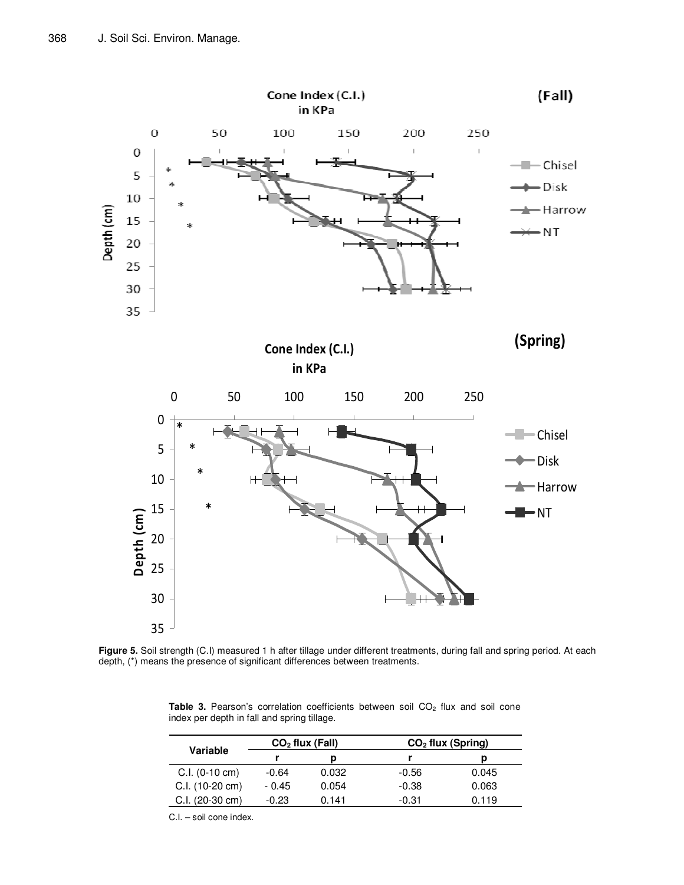

**Figure 5.** Soil strength (C.I) measured 1 h after tillage under different treatments, during fall and spring period. At each depth, (\*) means the presence of significant differences between treatments.

Table 3. Pearson's correlation coefficients between soil CO<sub>2</sub> flux and soil cone index per depth in fall and spring tillage.

| Variable          | $CO2$ flux (Fall) |       | $CO2$ flux (Spring) |       |
|-------------------|-------------------|-------|---------------------|-------|
|                   |                   |       |                     |       |
| $C.I. (0-10 cm)$  | $-0.64$           | 0.032 | $-0.56$             | 0.045 |
| $C.I. (10-20 cm)$ | $-0.45$           | 0.054 | $-0.38$             | 0.063 |
| $C.I. (20-30 cm)$ | $-0.23$           | 0.141 | $-0.31$             | 0.119 |

C.I. – soil cone index.